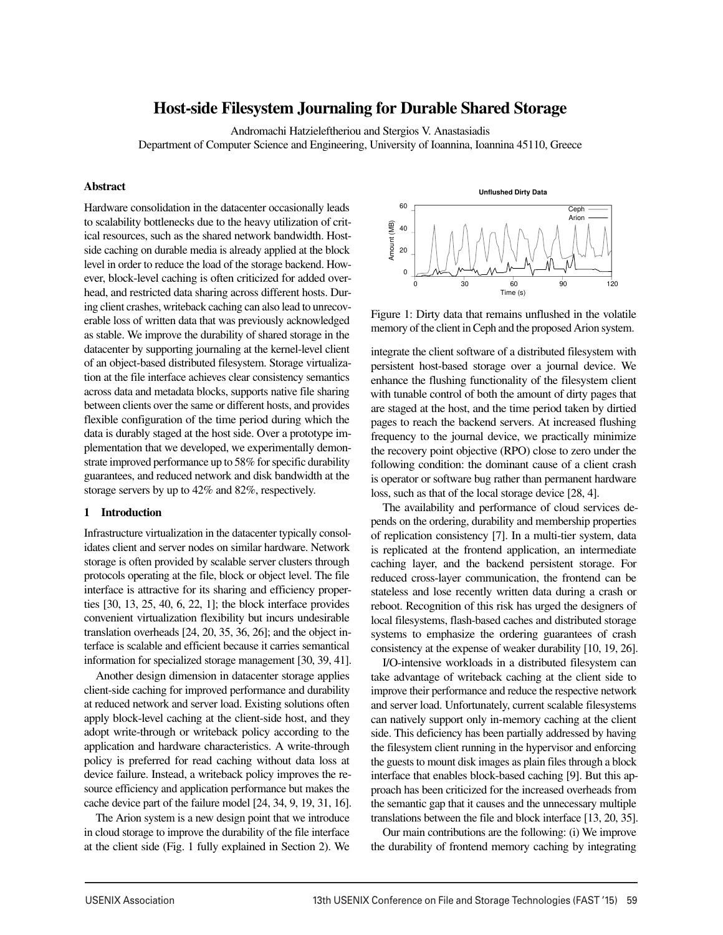# Host-side Filesystem Journaling for Durable Shared Storage

Andromachi Hatzieleftheriou and Stergios V. Anastasiadis

Department of Computer Science and Engineering, University of Ioannina, Ioannina 45110, Greece

# Abstract

Hardware consolidation in the datacenter occasionally leads to scalability bottlenecks due to the heavy utilization of critical resources, such as the shared network bandwidth. Hostside caching on durable media is already applied at the block level in order to reduce the load of the storage backend. However, block-level caching is often criticized for added overhead, and restricted data sharing across different hosts. During client crashes, writeback caching can also lead to unrecoverable loss of written data that was previously acknowledged as stable. We improve the durability of shared storage in the datacenter by supporting journaling at the kernel-level client of an object-based distributed filesystem. Storage virtualization at the file interface achieves clear consistency semantics across data and metadata blocks, supports native file sharing between clients over the same or different hosts, and provides flexible configuration of the time period during which the data is durably staged at the host side. Over a prototype implementation that we developed, we experimentally demonstrate improved performance up to 58% for specific durability guarantees, and reduced network and disk bandwidth at the storage servers by up to 42% and 82%, respectively.

#### 1 Introduction

Infrastructure virtualization in the datacenter typically consolidates client and server nodes on similar hardware. Network storage is often provided by scalable server clusters through protocols operating at the file, block or object level. The file interface is attractive for its sharing and efficiency properties [30, 13, 25, 40, 6, 22, 1]; the block interface provides convenient virtualization flexibility but incurs undesirable translation overheads [24, 20, 35, 36, 26]; and the object interface is scalable and efficient because it carries semantical information for specialized storage management [30, 39, 41].

Another design dimension in datacenter storage applies client-side caching for improved performance and durability at reduced network and server load. Existing solutions often apply block-level caching at the client-side host, and they adopt write-through or writeback policy according to the application and hardware characteristics. A write-through policy is preferred for read caching without data loss at device failure. Instead, a writeback policy improves the resource efficiency and application performance but makes the cache device part of the failure model [24, 34, 9, 19, 31, 16].

The Arion system is a new design point that we introduce in cloud storage to improve the durability of the file interface at the client side (Fig. 1 fully explained in Section 2). We

**Unflushed Dirty Data** 60 Ceph Arion Amount (MB) Amount (MB) 40 20 0 0 30 60 90 120 Time (s)

Figure 1: Dirty data that remains unflushed in the volatile memory of the client in Ceph and the proposed Arion system.

integrate the client software of a distributed filesystem with persistent host-based storage over a journal device. We enhance the flushing functionality of the filesystem client with tunable control of both the amount of dirty pages that are staged at the host, and the time period taken by dirtied pages to reach the backend servers. At increased flushing frequency to the journal device, we practically minimize the recovery point objective (RPO) close to zero under the following condition: the dominant cause of a client crash is operator or software bug rather than permanent hardware loss, such as that of the local storage device [28, 4].

The availability and performance of cloud services depends on the ordering, durability and membership properties of replication consistency [7]. In a multi-tier system, data is replicated at the frontend application, an intermediate caching layer, and the backend persistent storage. For reduced cross-layer communication, the frontend can be stateless and lose recently written data during a crash or reboot. Recognition of this risk has urged the designers of local filesystems, flash-based caches and distributed storage systems to emphasize the ordering guarantees of crash consistency at the expense of weaker durability [10, 19, 26].

I/O-intensive workloads in a distributed filesystem can take advantage of writeback caching at the client side to improve their performance and reduce the respective network and server load. Unfortunately, current scalable filesystems can natively support only in-memory caching at the client side. This deficiency has been partially addressed by having the filesystem client running in the hypervisor and enforcing the guests to mount disk images as plain files through a block interface that enables block-based caching [9]. But this approach has been criticized for the increased overheads from the semantic gap that it causes and the unnecessary multiple translations between the file and block interface [13, 20, 35].

Our main contributions are the following: (i) We improve the durability of frontend memory caching by integrating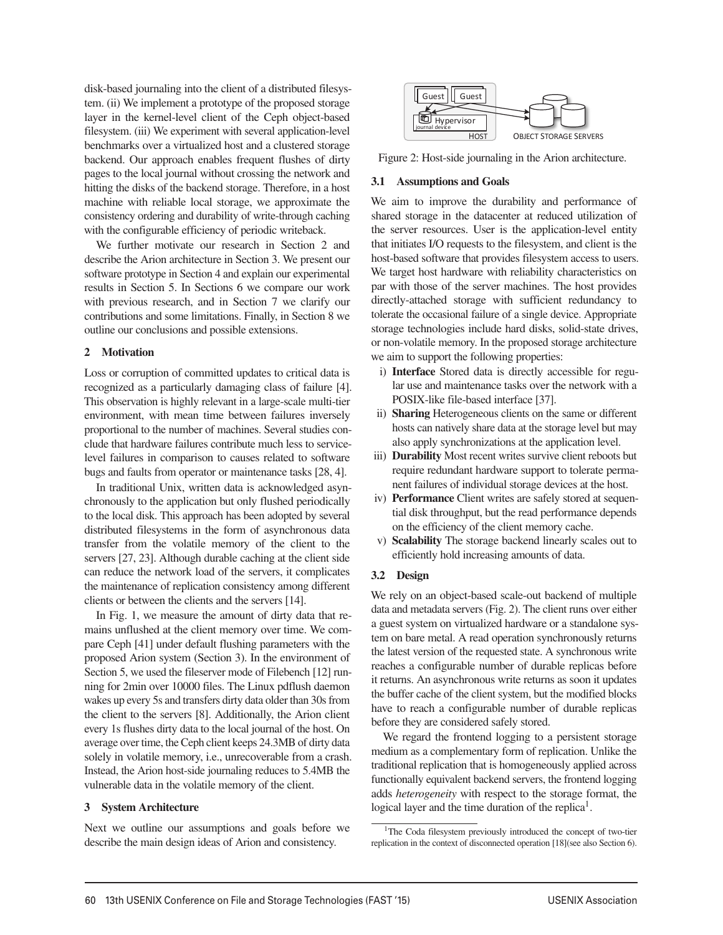disk-based journaling into the client of a distributed filesystem. (ii) We implement a prototype of the proposed storage layer in the kernel-level client of the Ceph object-based filesystem. (iii) We experiment with several application-level benchmarks over a virtualized host and a clustered storage backend. Our approach enables frequent flushes of dirty pages to the local journal without crossing the network and hitting the disks of the backend storage. Therefore, in a host machine with reliable local storage, we approximate the consistency ordering and durability of write-through caching with the configurable efficiency of periodic writeback.

We further motivate our research in Section 2 and describe the Arion architecture in Section 3. We present our software prototype in Section 4 and explain our experimental results in Section 5. In Sections 6 we compare our work with previous research, and in Section 7 we clarify our contributions and some limitations. Finally, in Section 8 we outline our conclusions and possible extensions.

# 2 Motivation

Loss or corruption of committed updates to critical data is recognized as a particularly damaging class of failure [4]. This observation is highly relevant in a large-scale multi-tier environment, with mean time between failures inversely proportional to the number of machines. Several studies conclude that hardware failures contribute much less to servicelevel failures in comparison to causes related to software bugs and faults from operator or maintenance tasks [28, 4].

In traditional Unix, written data is acknowledged asynchronously to the application but only flushed periodically to the local disk. This approach has been adopted by several distributed filesystems in the form of asynchronous data transfer from the volatile memory of the client to the servers [27, 23]. Although durable caching at the client side can reduce the network load of the servers, it complicates the maintenance of replication consistency among different clients or between the clients and the servers [14].

In Fig. 1, we measure the amount of dirty data that remains unflushed at the client memory over time. We compare Ceph [41] under default flushing parameters with the proposed Arion system (Section 3). In the environment of Section 5, we used the fileserver mode of Filebench [12] running for 2min over 10000 files. The Linux pdflush daemon wakes up every 5s and transfers dirty data older than 30s from the client to the servers [8]. Additionally, the Arion client every 1s flushes dirty data to the local journal of the host. On average over time, the Ceph client keeps 24.3MB of dirty data solely in volatile memory, i.e., unrecoverable from a crash. Instead, the Arion host-side journaling reduces to 5.4MB the vulnerable data in the volatile memory of the client.

#### 3 System Architecture

Next we outline our assumptions and goals before we describe the main design ideas of Arion and consistency.



Figure 2: Host-side journaling in the Arion architecture.

## 3.1 Assumptions and Goals

We aim to improve the durability and performance of shared storage in the datacenter at reduced utilization of the server resources. User is the application-level entity that initiates I/O requests to the filesystem, and client is the host-based software that provides filesystem access to users. We target host hardware with reliability characteristics on par with those of the server machines. The host provides directly-attached storage with sufficient redundancy to tolerate the occasional failure of a single device. Appropriate storage technologies include hard disks, solid-state drives, or non-volatile memory. In the proposed storage architecture we aim to support the following properties:

- i) Interface Stored data is directly accessible for regular use and maintenance tasks over the network with a POSIX-like file-based interface [37].
- ii) Sharing Heterogeneous clients on the same or different hosts can natively share data at the storage level but may also apply synchronizations at the application level.
- iii) **Durability** Most recent writes survive client reboots but require redundant hardware support to tolerate permanent failures of individual storage devices at the host.
- iv) Performance Client writes are safely stored at sequential disk throughput, but the read performance depends on the efficiency of the client memory cache.
- v) Scalability The storage backend linearly scales out to efficiently hold increasing amounts of data.

# 3.2 Design

We rely on an object-based scale-out backend of multiple data and metadata servers (Fig. 2). The client runs over either a guest system on virtualized hardware or a standalone system on bare metal. A read operation synchronously returns the latest version of the requested state. A synchronous write reaches a configurable number of durable replicas before it returns. An asynchronous write returns as soon it updates the buffer cache of the client system, but the modified blocks have to reach a configurable number of durable replicas before they are considered safely stored.

We regard the frontend logging to a persistent storage medium as a complementary form of replication. Unlike the traditional replication that is homogeneously applied across functionally equivalent backend servers, the frontend logging adds *heterogeneity* with respect to the storage format, the logical layer and the time duration of the replica<sup>1</sup>.

<sup>&</sup>lt;sup>1</sup>The Coda filesystem previously introduced the concept of two-tier replication in the context of disconnected operation [18](see also Section 6).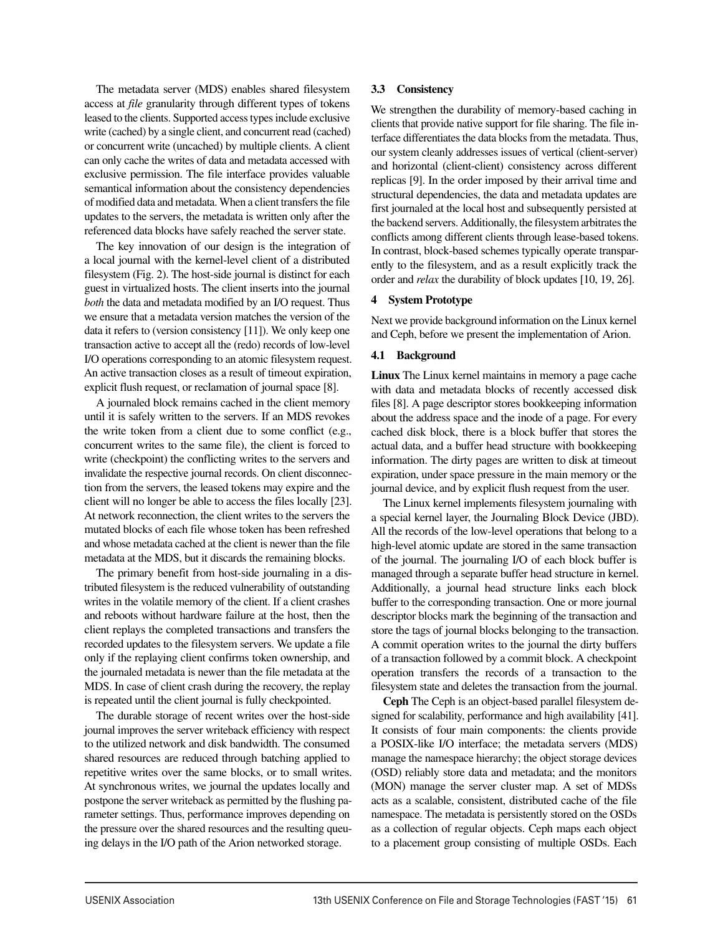The metadata server (MDS) enables shared filesystem access at *file* granularity through different types of tokens leased to the clients. Supported access types include exclusive write (cached) by a single client, and concurrent read (cached) or concurrent write (uncached) by multiple clients. A client can only cache the writes of data and metadata accessed with exclusive permission. The file interface provides valuable semantical information about the consistency dependencies of modified data and metadata. When a client transfers the file updates to the servers, the metadata is written only after the referenced data blocks have safely reached the server state.

The key innovation of our design is the integration of a local journal with the kernel-level client of a distributed filesystem (Fig. 2). The host-side journal is distinct for each guest in virtualized hosts. The client inserts into the journal *both* the data and metadata modified by an I/O request. Thus we ensure that a metadata version matches the version of the data it refers to (version consistency [11]). We only keep one transaction active to accept all the (redo) records of low-level I/O operations corresponding to an atomic filesystem request. An active transaction closes as a result of timeout expiration, explicit flush request, or reclamation of journal space [8].

A journaled block remains cached in the client memory until it is safely written to the servers. If an MDS revokes the write token from a client due to some conflict (e.g., concurrent writes to the same file), the client is forced to write (checkpoint) the conflicting writes to the servers and invalidate the respective journal records. On client disconnection from the servers, the leased tokens may expire and the client will no longer be able to access the files locally [23]. At network reconnection, the client writes to the servers the mutated blocks of each file whose token has been refreshed and whose metadata cached at the client is newer than the file metadata at the MDS, but it discards the remaining blocks.

The primary benefit from host-side journaling in a distributed filesystem is the reduced vulnerability of outstanding writes in the volatile memory of the client. If a client crashes and reboots without hardware failure at the host, then the client replays the completed transactions and transfers the recorded updates to the filesystem servers. We update a file only if the replaying client confirms token ownership, and the journaled metadata is newer than the file metadata at the MDS. In case of client crash during the recovery, the replay is repeated until the client journal is fully checkpointed.

The durable storage of recent writes over the host-side journal improves the server writeback efficiency with respect to the utilized network and disk bandwidth. The consumed shared resources are reduced through batching applied to repetitive writes over the same blocks, or to small writes. At synchronous writes, we journal the updates locally and postpone the server writeback as permitted by the flushing parameter settings. Thus, performance improves depending on the pressure over the shared resources and the resulting queuing delays in the I/O path of the Arion networked storage.

# 3.3 Consistency

We strengthen the durability of memory-based caching in clients that provide native support for file sharing. The file interface differentiates the data blocks from the metadata. Thus, our system cleanly addresses issues of vertical (client-server) and horizontal (client-client) consistency across different replicas [9]. In the order imposed by their arrival time and structural dependencies, the data and metadata updates are first journaled at the local host and subsequently persisted at the backend servers. Additionally, the filesystem arbitrates the conflicts among different clients through lease-based tokens. In contrast, block-based schemes typically operate transparently to the filesystem, and as a result explicitly track the order and *relax* the durability of block updates [10, 19, 26].

# 4 System Prototype

Next we provide background information on the Linux kernel and Ceph, before we present the implementation of Arion.

# 4.1 Background

Linux The Linux kernel maintains in memory a page cache with data and metadata blocks of recently accessed disk files [8]. A page descriptor stores bookkeeping information about the address space and the inode of a page. For every cached disk block, there is a block buffer that stores the actual data, and a buffer head structure with bookkeeping information. The dirty pages are written to disk at timeout expiration, under space pressure in the main memory or the journal device, and by explicit flush request from the user.

The Linux kernel implements filesystem journaling with a special kernel layer, the Journaling Block Device (JBD). All the records of the low-level operations that belong to a high-level atomic update are stored in the same transaction of the journal. The journaling I/O of each block buffer is managed through a separate buffer head structure in kernel. Additionally, a journal head structure links each block buffer to the corresponding transaction. One or more journal descriptor blocks mark the beginning of the transaction and store the tags of journal blocks belonging to the transaction. A commit operation writes to the journal the dirty buffers of a transaction followed by a commit block. A checkpoint operation transfers the records of a transaction to the filesystem state and deletes the transaction from the journal.

Ceph The Ceph is an object-based parallel filesystem designed for scalability, performance and high availability [41]. It consists of four main components: the clients provide a POSIX-like I/O interface; the metadata servers (MDS) manage the namespace hierarchy; the object storage devices (OSD) reliably store data and metadata; and the monitors (MON) manage the server cluster map. A set of MDSs acts as a scalable, consistent, distributed cache of the file namespace. The metadata is persistently stored on the OSDs as a collection of regular objects. Ceph maps each object to a placement group consisting of multiple OSDs. Each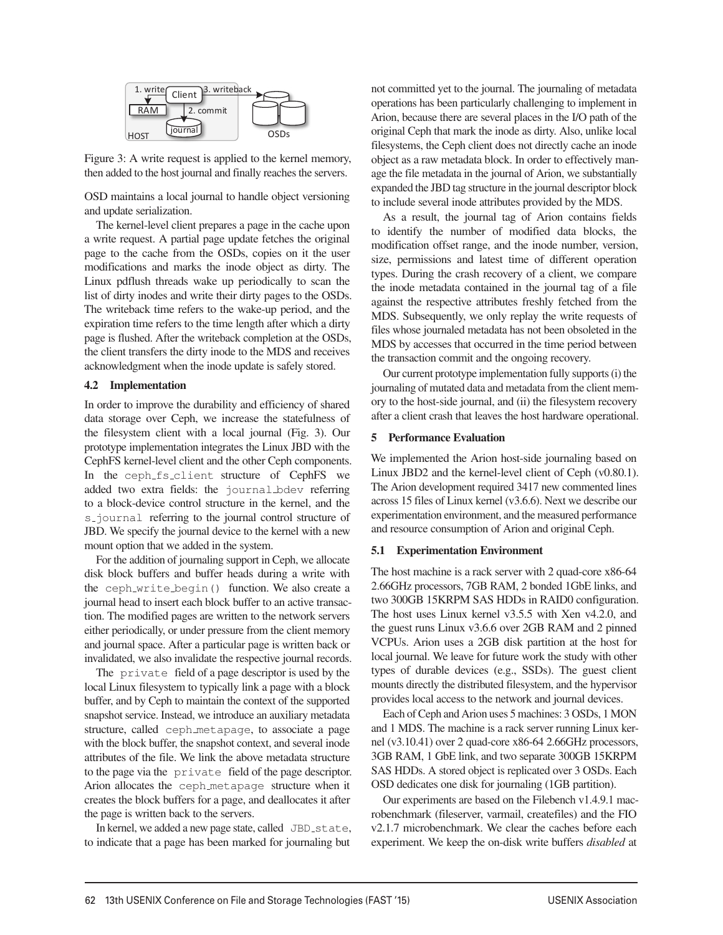

Figure 3: A write request is applied to the kernel memory, then added to the host journal and finally reaches the servers.

OSD maintains a local journal to handle object versioning and update serialization.

The kernel-level client prepares a page in the cache upon a write request. A partial page update fetches the original page to the cache from the OSDs, copies on it the user modifications and marks the inode object as dirty. The Linux pdflush threads wake up periodically to scan the list of dirty inodes and write their dirty pages to the OSDs. The writeback time refers to the wake-up period, and the expiration time refers to the time length after which a dirty page is flushed. After the writeback completion at the OSDs, the client transfers the dirty inode to the MDS and receives acknowledgment when the inode update is safely stored.

#### 4.2 Implementation

In order to improve the durability and efficiency of shared data storage over Ceph, we increase the statefulness of the filesystem client with a local journal (Fig. 3). Our prototype implementation integrates the Linux JBD with the CephFS kernel-level client and the other Ceph components. In the ceph fs client structure of CephFS we added two extra fields: the journal bdev referring to a block-device control structure in the kernel, and the s-journal referring to the journal control structure of JBD. We specify the journal device to the kernel with a new mount option that we added in the system.

For the addition of journaling support in Ceph, we allocate disk block buffers and buffer heads during a write with the ceph write begin() function. We also create a journal head to insert each block buffer to an active transaction. The modified pages are written to the network servers either periodically, or under pressure from the client memory and journal space. After a particular page is written back or invalidated, we also invalidate the respective journal records.

The private field of a page descriptor is used by the local Linux filesystem to typically link a page with a block buffer, and by Ceph to maintain the context of the supported snapshot service. Instead, we introduce an auxiliary metadata structure, called ceph metapage, to associate a page with the block buffer, the snapshot context, and several inode attributes of the file. We link the above metadata structure to the page via the private field of the page descriptor. Arion allocates the ceph metapage structure when it creates the block buffers for a page, and deallocates it after the page is written back to the servers.

In kernel, we added a new page state, called JBD\_state, to indicate that a page has been marked for journaling but

not committed yet to the journal. The journaling of metadata operations has been particularly challenging to implement in Arion, because there are several places in the I/O path of the original Ceph that mark the inode as dirty. Also, unlike local filesystems, the Ceph client does not directly cache an inode object as a raw metadata block. In order to effectively manage the file metadata in the journal of Arion, we substantially expanded the JBD tag structure in the journal descriptor block to include several inode attributes provided by the MDS.

As a result, the journal tag of Arion contains fields to identify the number of modified data blocks, the modification offset range, and the inode number, version, size, permissions and latest time of different operation types. During the crash recovery of a client, we compare the inode metadata contained in the journal tag of a file against the respective attributes freshly fetched from the MDS. Subsequently, we only replay the write requests of files whose journaled metadata has not been obsoleted in the MDS by accesses that occurred in the time period between the transaction commit and the ongoing recovery.

Our current prototype implementation fully supports (i) the journaling of mutated data and metadata from the client memory to the host-side journal, and (ii) the filesystem recovery after a client crash that leaves the host hardware operational.

#### 5 Performance Evaluation

We implemented the Arion host-side journaling based on Linux JBD2 and the kernel-level client of Ceph (v0.80.1). The Arion development required 3417 new commented lines across 15 files of Linux kernel (v3.6.6). Next we describe our experimentation environment, and the measured performance and resource consumption of Arion and original Ceph.

## 5.1 Experimentation Environment

The host machine is a rack server with 2 quad-core x86-64 2.66GHz processors, 7GB RAM, 2 bonded 1GbE links, and two 300GB 15KRPM SAS HDDs in RAID0 configuration. The host uses Linux kernel v3.5.5 with Xen v4.2.0, and the guest runs Linux v3.6.6 over 2GB RAM and 2 pinned VCPUs. Arion uses a 2GB disk partition at the host for local journal. We leave for future work the study with other types of durable devices (e.g., SSDs). The guest client mounts directly the distributed filesystem, and the hypervisor provides local access to the network and journal devices.

Each of Ceph and Arion uses 5 machines: 3 OSDs, 1 MON and 1 MDS. The machine is a rack server running Linux kernel (v3.10.41) over 2 quad-core x86-64 2.66GHz processors, 3GB RAM, 1 GbE link, and two separate 300GB 15KRPM SAS HDDs. A stored object is replicated over 3 OSDs. Each OSD dedicates one disk for journaling (1GB partition).

Our experiments are based on the Filebench v1.4.9.1 macrobenchmark (fileserver, varmail, createfiles) and the FIO v2.1.7 microbenchmark. We clear the caches before each experiment. We keep the on-disk write buffers *disabled* at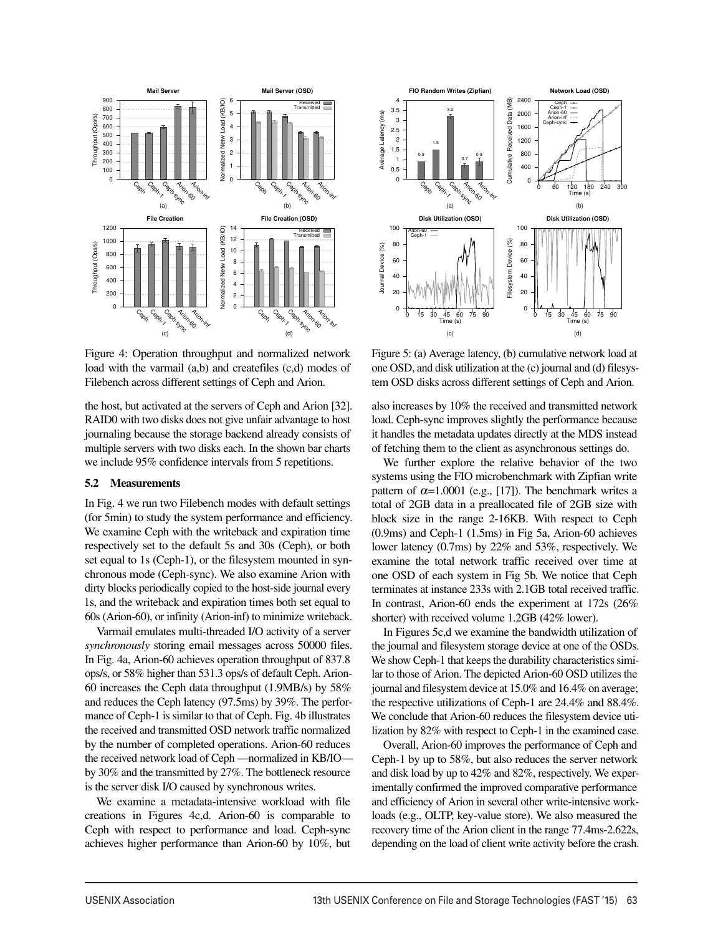

Figure 4: Operation throughput and normalized network load with the varmail (a,b) and createfiles (c,d) modes of Filebench across different settings of Ceph and Arion.

the host, but activated at the servers of Ceph and Arion [32]. RAID0 with two disks does not give unfair advantage to host journaling because the storage backend already consists of multiple servers with two disks each. In the shown bar charts we include 95% confidence intervals from 5 repetitions.

#### 5.2 Measurements

In Fig. 4 we run two Filebench modes with default settings (for 5min) to study the system performance and efficiency. We examine Ceph with the writeback and expiration time respectively set to the default 5s and 30s (Ceph), or both set equal to 1s (Ceph-1), or the filesystem mounted in synchronous mode (Ceph-sync). We also examine Arion with dirty blocks periodically copied to the host-side journal every 1s, and the writeback and expiration times both set equal to 60s (Arion-60), or infinity (Arion-inf) to minimize writeback.

Varmail emulates multi-threaded I/O activity of a server *synchronously* storing email messages across 50000 files. In Fig. 4a, Arion-60 achieves operation throughput of 837.8 ops/s, or 58% higher than 531.3 ops/s of default Ceph. Arion-60 increases the Ceph data throughput (1.9MB/s) by 58% and reduces the Ceph latency (97.5ms) by 39%. The performance of Ceph-1 is similar to that of Ceph. Fig. 4b illustrates the received and transmitted OSD network traffic normalized by the number of completed operations. Arion-60 reduces the received network load of Ceph —normalized in KB/IO by 30% and the transmitted by 27%. The bottleneck resource is the server disk I/O caused by synchronous writes.

We examine a metadata-intensive workload with file creations in Figures 4c,d. Arion-60 is comparable to Ceph with respect to performance and load. Ceph-sync achieves higher performance than Arion-60 by 10%, but



Figure 5: (a) Average latency, (b) cumulative network load at one OSD, and disk utilization at the (c) journal and (d) filesystem OSD disks across different settings of Ceph and Arion.

also increases by 10% the received and transmitted network load. Ceph-sync improves slightly the performance because it handles the metadata updates directly at the MDS instead of fetching them to the client as asynchronous settings do.

We further explore the relative behavior of the two systems using the FIO microbenchmark with Zipfian write pattern of  $\alpha$ =1.0001 (e.g., [17]). The benchmark writes a total of 2GB data in a preallocated file of 2GB size with block size in the range 2-16KB. With respect to Ceph (0.9ms) and Ceph-1 (1.5ms) in Fig 5a, Arion-60 achieves lower latency (0.7ms) by 22% and 53%, respectively. We examine the total network traffic received over time at one OSD of each system in Fig 5b. We notice that Ceph terminates at instance 233s with 2.1GB total received traffic. In contrast, Arion-60 ends the experiment at 172s (26% shorter) with received volume 1.2GB (42% lower).

In Figures 5c,d we examine the bandwidth utilization of the journal and filesystem storage device at one of the OSDs. We show Ceph-1 that keeps the durability characteristics similar to those of Arion. The depicted Arion-60 OSD utilizes the journal and filesystem device at 15.0% and 16.4% on average; the respective utilizations of Ceph-1 are 24.4% and 88.4%. We conclude that Arion-60 reduces the filesystem device utilization by 82% with respect to Ceph-1 in the examined case.

Overall, Arion-60 improves the performance of Ceph and Ceph-1 by up to 58%, but also reduces the server network and disk load by up to 42% and 82%, respectively. We experimentally confirmed the improved comparative performance and efficiency of Arion in several other write-intensive workloads (e.g., OLTP, key-value store). We also measured the recovery time of the Arion client in the range 77.4ms-2.622s, depending on the load of client write activity before the crash.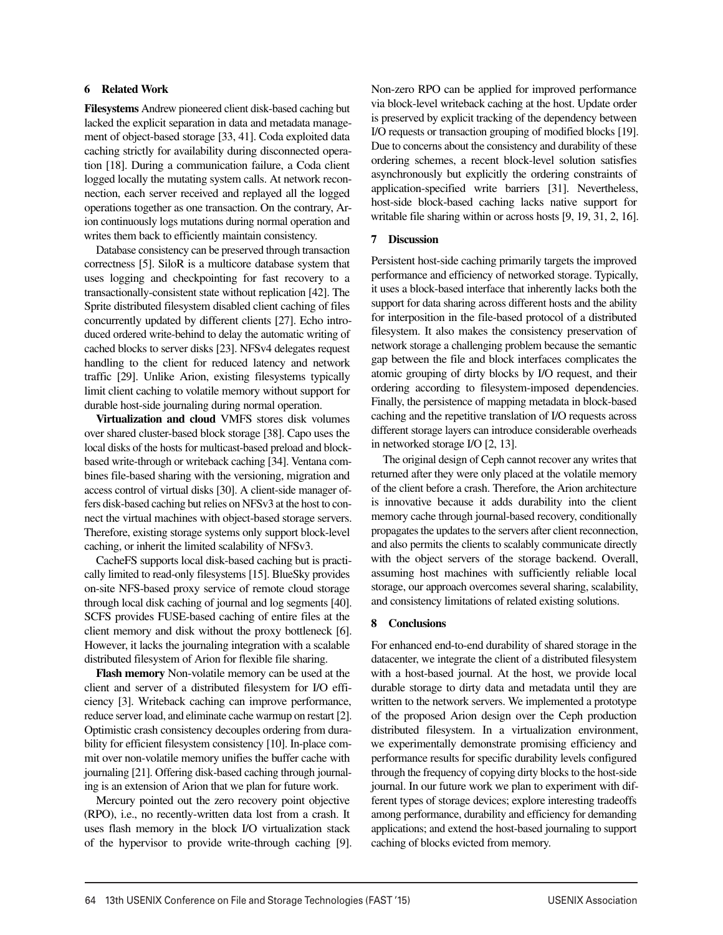# 6 Related Work

Filesystems Andrew pioneered client disk-based caching but lacked the explicit separation in data and metadata management of object-based storage [33, 41]. Coda exploited data caching strictly for availability during disconnected operation [18]. During a communication failure, a Coda client logged locally the mutating system calls. At network reconnection, each server received and replayed all the logged operations together as one transaction. On the contrary, Arion continuously logs mutations during normal operation and writes them back to efficiently maintain consistency.

Database consistency can be preserved through transaction correctness [5]. SiloR is a multicore database system that uses logging and checkpointing for fast recovery to a transactionally-consistent state without replication [42]. The Sprite distributed filesystem disabled client caching of files concurrently updated by different clients [27]. Echo introduced ordered write-behind to delay the automatic writing of cached blocks to server disks [23]. NFSv4 delegates request handling to the client for reduced latency and network traffic [29]. Unlike Arion, existing filesystems typically limit client caching to volatile memory without support for durable host-side journaling during normal operation.

Virtualization and cloud VMFS stores disk volumes over shared cluster-based block storage [38]. Capo uses the local disks of the hosts for multicast-based preload and blockbased write-through or writeback caching [34]. Ventana combines file-based sharing with the versioning, migration and access control of virtual disks [30]. A client-side manager offers disk-based caching but relies on NFSv3 at the host to connect the virtual machines with object-based storage servers. Therefore, existing storage systems only support block-level caching, or inherit the limited scalability of NFSv3.

CacheFS supports local disk-based caching but is practically limited to read-only filesystems [15]. BlueSky provides on-site NFS-based proxy service of remote cloud storage through local disk caching of journal and log segments [40]. SCFS provides FUSE-based caching of entire files at the client memory and disk without the proxy bottleneck [6]. However, it lacks the journaling integration with a scalable distributed filesystem of Arion for flexible file sharing.

Flash memory Non-volatile memory can be used at the client and server of a distributed filesystem for I/O efficiency [3]. Writeback caching can improve performance, reduce server load, and eliminate cache warmup on restart [2]. Optimistic crash consistency decouples ordering from durability for efficient filesystem consistency [10]. In-place commit over non-volatile memory unifies the buffer cache with journaling [21]. Offering disk-based caching through journaling is an extension of Arion that we plan for future work.

Mercury pointed out the zero recovery point objective (RPO), i.e., no recently-written data lost from a crash. It uses flash memory in the block I/O virtualization stack of the hypervisor to provide write-through caching [9]. Non-zero RPO can be applied for improved performance via block-level writeback caching at the host. Update order is preserved by explicit tracking of the dependency between I/O requests or transaction grouping of modified blocks [19]. Due to concerns about the consistency and durability of these ordering schemes, a recent block-level solution satisfies asynchronously but explicitly the ordering constraints of application-specified write barriers [31]. Nevertheless, host-side block-based caching lacks native support for writable file sharing within or across hosts [9, 19, 31, 2, 16].

#### 7 Discussion

Persistent host-side caching primarily targets the improved performance and efficiency of networked storage. Typically, it uses a block-based interface that inherently lacks both the support for data sharing across different hosts and the ability for interposition in the file-based protocol of a distributed filesystem. It also makes the consistency preservation of network storage a challenging problem because the semantic gap between the file and block interfaces complicates the atomic grouping of dirty blocks by I/O request, and their ordering according to filesystem-imposed dependencies. Finally, the persistence of mapping metadata in block-based caching and the repetitive translation of I/O requests across different storage layers can introduce considerable overheads in networked storage I/O [2, 13].

The original design of Ceph cannot recover any writes that returned after they were only placed at the volatile memory of the client before a crash. Therefore, the Arion architecture is innovative because it adds durability into the client memory cache through journal-based recovery, conditionally propagates the updates to the servers after client reconnection, and also permits the clients to scalably communicate directly with the object servers of the storage backend. Overall, assuming host machines with sufficiently reliable local storage, our approach overcomes several sharing, scalability, and consistency limitations of related existing solutions.

#### 8 Conclusions

For enhanced end-to-end durability of shared storage in the datacenter, we integrate the client of a distributed filesystem with a host-based journal. At the host, we provide local durable storage to dirty data and metadata until they are written to the network servers. We implemented a prototype of the proposed Arion design over the Ceph production distributed filesystem. In a virtualization environment, we experimentally demonstrate promising efficiency and performance results for specific durability levels configured through the frequency of copying dirty blocks to the host-side journal. In our future work we plan to experiment with different types of storage devices; explore interesting tradeoffs among performance, durability and efficiency for demanding applications; and extend the host-based journaling to support caching of blocks evicted from memory.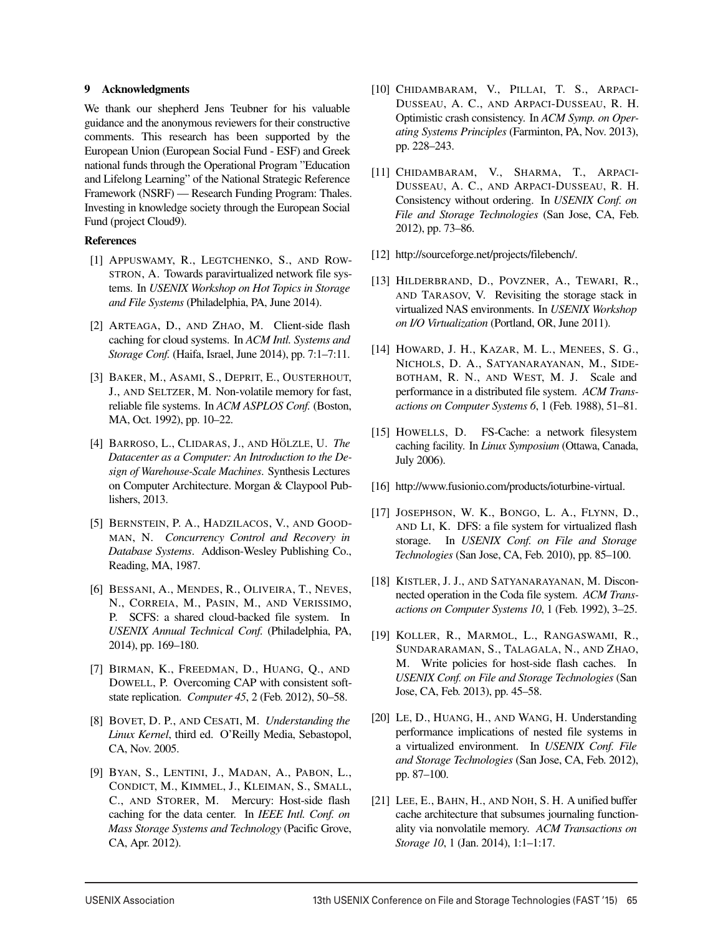# 9 Acknowledgments

We thank our shepherd Jens Teubner for his valuable guidance and the anonymous reviewers for their constructive comments. This research has been supported by the European Union (European Social Fund - ESF) and Greek national funds through the Operational Program "Education and Lifelong Learning" of the National Strategic Reference Framework (NSRF) — Research Funding Program: Thales. Investing in knowledge society through the European Social Fund (project Cloud9).

# References

- [1] APPUSWAMY, R., LEGTCHENKO, S., AND ROW-STRON, A. Towards paravirtualized network file systems. In *USENIX Workshop on Hot Topics in Storage and File Systems* (Philadelphia, PA, June 2014).
- [2] ARTEAGA, D., AND ZHAO, M. Client-side flash caching for cloud systems. In *ACM Intl. Systems and Storage Conf.* (Haifa, Israel, June 2014), pp. 7:1–7:11.
- [3] BAKER, M., ASAMI, S., DEPRIT, E., OUSTERHOUT, J., AND SELTZER, M. Non-volatile memory for fast, reliable file systems. In *ACM ASPLOS Conf.* (Boston, MA, Oct. 1992), pp. 10–22.
- [4] BARROSO, L., CLIDARAS, J., AND HÖLZLE, U. The *Datacenter as a Computer: An Introduction to the Design of Warehouse-Scale Machines*. Synthesis Lectures on Computer Architecture. Morgan & Claypool Publishers, 2013.
- [5] BERNSTEIN, P. A., HADZILACOS, V., AND GOOD-MAN, N. *Concurrency Control and Recovery in Database Systems*. Addison-Wesley Publishing Co., Reading, MA, 1987.
- [6] BESSANI, A., MENDES, R., OLIVEIRA, T., NEVES, N., CORREIA, M., PASIN, M., AND VERISSIMO, P. SCFS: a shared cloud-backed file system. In *USENIX Annual Technical Conf.* (Philadelphia, PA, 2014), pp. 169–180.
- [7] BIRMAN, K., FREEDMAN, D., HUANG, Q., AND DOWELL, P. Overcoming CAP with consistent softstate replication. *Computer 45*, 2 (Feb. 2012), 50–58.
- [8] BOVET, D. P., AND CESATI, M. *Understanding the Linux Kernel*, third ed. O'Reilly Media, Sebastopol, CA, Nov. 2005.
- [9] BYAN, S., LENTINI, J., MADAN, A., PABON, L., CONDICT, M., KIMMEL, J., KLEIMAN, S., SMALL, C., AND STORER, M. Mercury: Host-side flash caching for the data center. In *IEEE Intl. Conf. on Mass Storage Systems and Technology* (Pacific Grove, CA, Apr. 2012).
- [10] CHIDAMBARAM, V., PILLAI, T. S., ARPACI-DUSSEAU, A. C., AND ARPACI-DUSSEAU, R. H. Optimistic crash consistency. In *ACM Symp. on Operating Systems Principles* (Farminton, PA, Nov. 2013), pp. 228–243.
- [11] CHIDAMBARAM, V., SHARMA, T., ARPACI-DUSSEAU, A. C., AND ARPACI-DUSSEAU, R. H. Consistency without ordering. In *USENIX Conf. on File and Storage Technologies* (San Jose, CA, Feb. 2012), pp. 73–86.
- [12] http://sourceforge.net/projects/filebench/.
- [13] HILDERBRAND, D., POVZNER, A., TEWARI, R., AND TARASOV, V. Revisiting the storage stack in virtualized NAS environments. In *USENIX Workshop on I/O Virtualization* (Portland, OR, June 2011).
- [14] HOWARD, J. H., KAZAR, M. L., MENEES, S. G., NICHOLS, D. A., SATYANARAYANAN, M., SIDE-BOTHAM, R. N., AND WEST, M. J. Scale and performance in a distributed file system. *ACM Transactions on Computer Systems 6*, 1 (Feb. 1988), 51–81.
- [15] HOWELLS, D. FS-Cache: a network filesystem caching facility. In *Linux Symposium* (Ottawa, Canada, July 2006).
- [16] http://www.fusionio.com/products/ioturbine-virtual.
- [17] JOSEPHSON, W. K., BONGO, L. A., FLYNN, D., AND LI, K. DFS: a file system for virtualized flash storage. In *USENIX Conf. on File and Storage Technologies* (San Jose, CA, Feb. 2010), pp. 85–100.
- [18] KISTLER, J. J., AND SATYANARAYANAN, M. Disconnected operation in the Coda file system. *ACM Transactions on Computer Systems 10*, 1 (Feb. 1992), 3–25.
- [19] KOLLER, R., MARMOL, L., RANGASWAMI, R., SUNDARARAMAN, S., TALAGALA, N., AND ZHAO, M. Write policies for host-side flash caches. In *USENIX Conf. on File and Storage Technologies* (San Jose, CA, Feb. 2013), pp. 45–58.
- [20] LE, D., HUANG, H., AND WANG, H. Understanding performance implications of nested file systems in a virtualized environment. In *USENIX Conf. File and Storage Technologies* (San Jose, CA, Feb. 2012), pp. 87–100.
- [21] LEE, E., BAHN, H., AND NOH, S. H. A unified buffer cache architecture that subsumes journaling functionality via nonvolatile memory. *ACM Transactions on Storage 10*, 1 (Jan. 2014), 1:1–1:17.